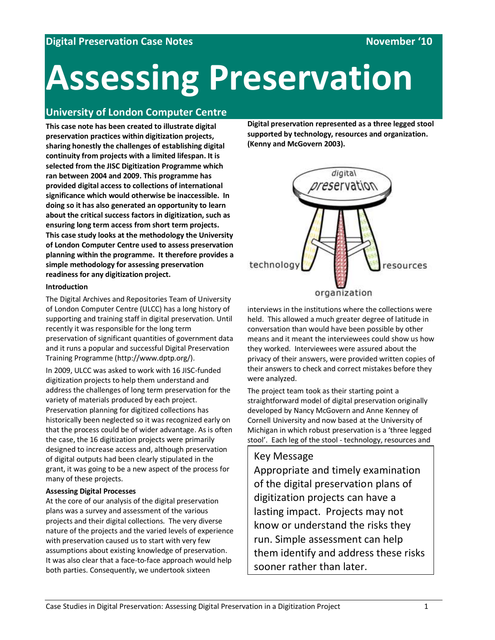# **Assessing Preservation**

# **University of London Computer Centre**

**This case note has been created to illustrate digital preservation practices within digitization projects, sharing honestly the challenges of establishing digital continuity from projects with a limited lifespan. It is selected from the JISC Digitization Programme which ran between 2004 and 2009. This programme has provided digital access to collections of international significance which would otherwise be inaccessible. In doing so it has also generated an opportunity to learn about the critical success factors in digitization, such as ensuring long term access from short term projects. This case study looks at the methodology the University of London Computer Centre used to assess preservation planning within the programme. It therefore provides a simple methodology for assessing preservation readiness for any digitization project.**

#### **Introduction**

The Digital Archives and Repositories Team of University of London Computer Centre (ULCC) has a long history of supporting and training staff in digital preservation. Until recently it was responsible for the long term preservation of significant quantities of government data and it runs a popular and successful Digital Preservation Training Programme (http://www.dptp.org/).

In 2009, ULCC was asked to work with 16 JISC-funded digitization projects to help them understand and address the challenges of long term preservation for the variety of materials produced by each project. Preservation planning for digitized collections has historically been neglected so it was recognized early on that the process could be of wider advantage. As is often the case, the 16 digitization projects were primarily designed to increase access and, although preservation of digital outputs had been clearly stipulated in the grant, it was going to be a new aspect of the process for many of these projects.

# **Assessing Digital Processes**

At the core of our analysis of the digital preservation plans was a survey and assessment of the various projects and their digital collections. The very diverse nature of the projects and the varied levels of experience with preservation caused us to start with very few assumptions about existing knowledge of preservation. It was also clear that a face-to-face approach would help both parties. Consequently, we undertook sixteen

**Digital preservation represented as a three legged stool supported by technology, resources and organization. (Kenny and McGovern 2003).**



interviews in the institutions where the collections were held. This allowed a much greater degree of latitude in conversation than would have been possible by other means and it meant the interviewees could show us how they worked. Interviewees were assured about the privacy of their answers, were provided written copies of their answers to check and correct mistakes before they were analyzed.

The project team took as their starting point a straightforward model of digital preservation originally developed by Nancy McGovern and Anne Kenney of Cornell University and now based at the University of Michigan in which robust preservation is a 'three legged stool'. Each leg of the stool - technology, resources and

# Key Message

Appropriate and timely examination of the digital preservation plans of digitization projects can have a lasting impact. Projects may not know or understand the risks they run. Simple assessment can help them identify and address these risks sooner rather than later.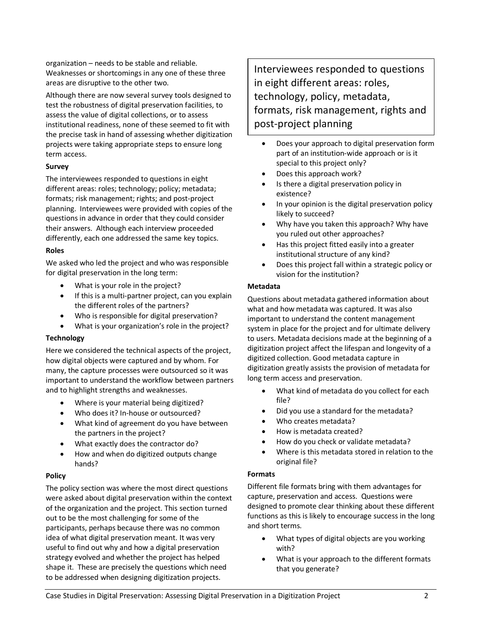organization – needs to be stable and reliable. Weaknesses or shortcomings in any one of these three areas are disruptive to the other two.

Although there are now several survey tools designed to test the robustness of digital preservation facilities, to assess the value of digital collections, or to assess institutional readiness, none of these seemed to fit with the precise task in hand of assessing whether digitization projects were taking appropriate steps to ensure long term access.

# **Survey**

The interviewees responded to questions in eight different areas: roles; technology; policy; metadata; formats; risk management; rights; and post-project planning. Interviewees were provided with copies of the questions in advance in order that they could consider their answers. Although each interview proceeded differently, each one addressed the same key topics.

# **Roles**

We asked who led the project and who was responsible for digital preservation in the long term:

- What is your role in the project?
- If this is a multi-partner project, can you explain the different roles of the partners?
- Who is responsible for digital preservation?
- What is your organization's role in the project?

# **Technology**

Here we considered the technical aspects of the project, how digital objects were captured and by whom. For many, the capture processes were outsourced so it was important to understand the workflow between partners and to highlight strengths and weaknesses.

- Where is your material being digitized?
- Who does it? In-house or outsourced?
- What kind of agreement do you have between the partners in the project?
- What exactly does the contractor do?
- How and when do digitized outputs change hands?

# **Policy**

The policy section was where the most direct questions were asked about digital preservation within the context of the organization and the project. This section turned out to be the most challenging for some of the participants, perhaps because there was no common idea of what digital preservation meant. It was very useful to find out why and how a digital preservation strategy evolved and whether the project has helped shape it. These are precisely the questions which need to be addressed when designing digitization projects.

Interviewees responded to questions in eight different areas: roles, technology, policy, metadata, formats, risk management, rights and post-project planning

- Does your approach to digital preservation form part of an institution-wide approach or is it special to this project only?
- Does this approach work?
- Is there a digital preservation policy in existence?
- In your opinion is the digital preservation policy likely to succeed?
- Why have you taken this approach? Why have you ruled out other approaches?
- Has this project fitted easily into a greater institutional structure of any kind?
- Does this project fall within a strategic policy or vision for the institution?

#### **Metadata**

Questions about metadata gathered information about what and how metadata was captured. It was also important to understand the content management system in place for the project and for ultimate delivery to users. Metadata decisions made at the beginning of a digitization project affect the lifespan and longevity of a digitized collection. Good metadata capture in digitization greatly assists the provision of metadata for long term access and preservation.

- What kind of metadata do you collect for each file?
- Did you use a standard for the metadata?
- Who creates metadata?
- How is metadata created?
- How do you check or validate metadata?
- Where is this metadata stored in relation to the original file?

#### **Formats**

Different file formats bring with them advantages for capture, preservation and access. Questions were designed to promote clear thinking about these different functions as this is likely to encourage success in the long and short terms.

- What types of digital objects are you working with?
- What is your approach to the different formats that you generate?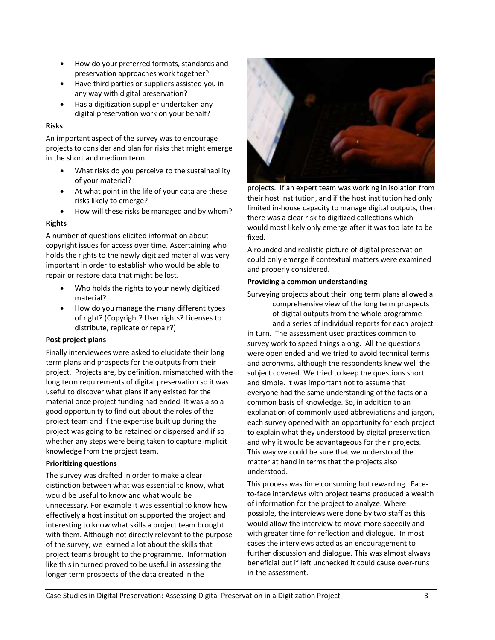- How do your preferred formats, standards and preservation approaches work together?
- Have third parties or suppliers assisted you in any way with digital preservation?
- Has a digitization supplier undertaken any digital preservation work on your behalf?

#### **Risks**

An important aspect of the survey was to encourage projects to consider and plan for risks that might emerge in the short and medium term.

- What risks do you perceive to the sustainability of your material?
- At what point in the life of your data are these risks likely to emerge?
- How will these risks be managed and by whom?

#### **Rights**

A number of questions elicited information about copyright issues for access over time. Ascertaining who holds the rights to the newly digitized material was very important in order to establish who would be able to repair or restore data that might be lost.

- Who holds the rights to your newly digitized material?
- How do you manage the many different types of right? (Copyright? User rights? Licenses to distribute, replicate or repair?)

# **Post project plans**

Finally interviewees were asked to elucidate their long term plans and prospects for the outputs from their project. Projects are, by definition, mismatched with the long term requirements of digital preservation so it was useful to discover what plans if any existed for the material once project funding had ended. It was also a good opportunity to find out about the roles of the project team and if the expertise built up during the project was going to be retained or dispersed and if so whether any steps were being taken to capture implicit knowledge from the project team.

#### **Prioritizing questions**

The survey was drafted in order to make a clear distinction between what was essential to know, what would be useful to know and what would be unnecessary. For example it was essential to know how effectively a host institution supported the project and interesting to know what skills a project team brought with them. Although not directly relevant to the purpose of the survey, we learned a lot about the skills that project teams brought to the programme. Information like this in turned proved to be useful in assessing the longer term prospects of the data created in the



projects. If an expert team was working in isolation from their host institution, and if the host institution had only limited in-house capacity to manage digital outputs, then there was a clear risk to digitized collections which would most likely only emerge after it was too late to be fixed.

A rounded and realistic picture of digital preservation could only emerge if contextual matters were examined and properly considered.

#### **Providing a common understanding**

Surveying projects about their long term plans allowed a comprehensive view of the long term prospects of digital outputs from the whole programme and a series of individual reports for each project

in turn. The assessment used practices common to survey work to speed things along. All the questions were open ended and we tried to avoid technical terms and acronyms, although the respondents knew well the subject covered. We tried to keep the questions short and simple. It was important not to assume that everyone had the same understanding of the facts or a common basis of knowledge. So, in addition to an explanation of commonly used abbreviations and jargon, each survey opened with an opportunity for each project to explain what they understood by digital preservation and why it would be advantageous for their projects. This way we could be sure that we understood the matter at hand in terms that the projects also understood.

This process was time consuming but rewarding. Faceto-face interviews with project teams produced a wealth of information for the project to analyze. Where possible, the interviews were done by two staff as this would allow the interview to move more speedily and with greater time for reflection and dialogue. In most cases the interviews acted as an encouragement to further discussion and dialogue. This was almost always beneficial but if left unchecked it could cause over-runs in the assessment.